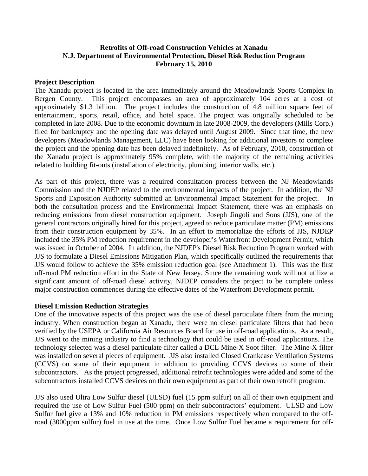# **Retrofits of Off-road Construction Vehicles at Xanadu N.J. Department of Environmental Protection, Diesel Risk Reduction Program February 15, 2010**

### **Project Description**

The Xanadu project is located in the area immediately around the Meadowlands Sports Complex in Bergen County. This project encompasses an area of approximately 104 acres at a cost of approximately \$1.3 billion. The project includes the construction of 4.8 million square feet of entertainment, sports, retail, office, and hotel space. The project was originally scheduled to be completed in late 2008. Due to the economic downturn in late 2008-2009, the developers (Mills Corp.) filed for bankruptcy and the opening date was delayed until August 2009. Since that time, the new developers (Meadowlands Management, LLC) have been looking for additional investors to complete the project and the opening date has been delayed indefinitely. As of February, 2010, construction of the Xanadu project is approximately 95% complete, with the majority of the remaining activities related to building fit-outs (installation of electricity, plumbing, interior walls, etc.).

As part of this project, there was a required consultation process between the NJ Meadowlands Commission and the NJDEP related to the environmental impacts of the project. In addition, the NJ Sports and Exposition Authority submitted an Environmental Impact Statement for the project. both the consultation process and the Environmental Impact Statement, there was an emphasis on reducing emissions from diesel construction equipment. Joseph Jingoli and Sons (JJS), one of the general contractors originally hired for this project, agreed to reduce particulate matter (PM) emissions from their construction equipment by 35%. In an effort to memorialize the efforts of JJS, NJDEP included the 35% PM reduction requirement in the developer's Waterfront Development Permit, which was issued in October of 2004. In addition, the NJDEP's Diesel Risk Reduction Program worked with JJS to formulate a Diesel Emissions Mitigation Plan, which specifically outlined the requirements that JJS would follow to achieve the 35% emission reduction goal (see Attachment 1). This was the first off-road PM reduction effort in the State of New Jersey. Since the remaining work will not utilize a significant amount of off-road diesel activity, NJDEP considers the project to be complete unless major construction commences during the effective dates of the Waterfront Development permit.

#### **Diesel Emission Reduction Strategies**

One of the innovative aspects of this project was the use of diesel particulate filters from the mining industry. When construction began at Xanadu, there were no diesel particulate filters that had been verified by the USEPA or California Air Resources Board for use in off-road applications. As a result, JJS went to the mining industry to find a technology that could be used in off-road applications. The technology selected was a diesel particulate filter called a DCL Mine-X Soot filter. The Mine-X filter was installed on several pieces of equipment. JJS also installed Closed Crankcase Ventilation Systems (CCVS) on some of their equipment in addition to providing CCVS devices to some of their subcontractors. As the project progressed, additional retrofit technologies were added and some of the subcontractors installed CCVS devices on their own equipment as part of their own retrofit program.

JJS also used Ultra Low Sulfur diesel (ULSD) fuel (15 ppm sulfur) on all of their own equipment and required the use of Low Sulfur Fuel (500 ppm) on their subcontractors' equipment. ULSD and Low Sulfur fuel give a 13% and 10% reduction in PM emissions respectively when compared to the offroad (3000ppm sulfur) fuel in use at the time. Once Low Sulfur Fuel became a requirement for off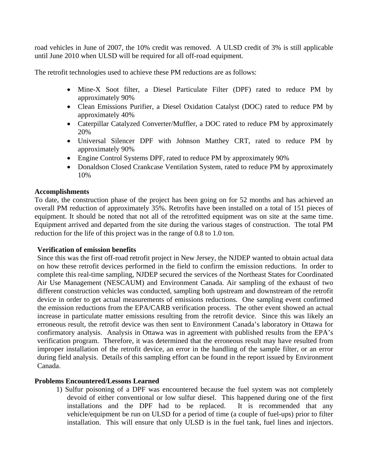road vehicles in June of 2007, the 10% credit was removed. A ULSD credit of 3% is still applicable until June 2010 when ULSD will be required for all off-road equipment.

The retrofit technologies used to achieve these PM reductions are as follows:

- Mine-X Soot filter, a Diesel Particulate Filter (DPF) rated to reduce PM by approximately 90%
- Clean Emissions Purifier, a Diesel Oxidation Catalyst (DOC) rated to reduce PM by approximately 40%
- Caterpillar Catalyzed Converter/Muffler, a DOC rated to reduce PM by approximately 20%
- Universal Silencer DPF with Johnson Matthey CRT, rated to reduce PM by approximately 90%
- Engine Control Systems DPF, rated to reduce PM by approximately 90%
- Donaldson Closed Crankcase Ventilation System, rated to reduce PM by approximately 10%

## **Accomplishments**

To date, the construction phase of the project has been going on for 52 months and has achieved an overall PM reduction of approximately 35%. Retrofits have been installed on a total of 151 pieces of equipment. It should be noted that not all of the retrofitted equipment was on site at the same time. Equipment arrived and departed from the site during the various stages of construction. The total PM reduction for the life of this project was in the range of 0.8 to 1.0 ton.

#### **Verification of emission benefits**

Since this was the first off-road retrofit project in New Jersey, the NJDEP wanted to obtain actual data on how these retrofit devices performed in the field to confirm the emission reductions. In order to complete this real-time sampling, NJDEP secured the services of the Northeast States for Coordinated Air Use Management (NESCAUM) and Environment Canada. Air sampling of the exhaust of two different construction vehicles was conducted, sampling both upstream and downstream of the retrofit device in order to get actual measurements of emissions reductions. One sampling event confirmed the emission reductions from the EPA/CARB verification process. The other event showed an actual increase in particulate matter emissions resulting from the retrofit device. Since this was likely an erroneous result, the retrofit device was then sent to Environment Canada's laboratory in Ottawa for confirmatory analysis. Analysis in Ottawa was in agreement with published results from the EPA's verification program. Therefore, it was determined that the erroneous result may have resulted from improper installation of the retrofit device, an error in the handling of the sample filter, or an error during field analysis. Details of this sampling effort can be found in the report issued by Environment Canada.

# **Problems Encountered/Lessons Learned**

1) Sulfur poisoning of a DPF was encountered because the fuel system was not completely devoid of either conventional or low sulfur diesel. This happened during one of the first installations and the DPF had to be replaced. It is recommended that any vehicle/equipment be run on ULSD for a period of time (a couple of fuel-ups) prior to filter installation. This will ensure that only ULSD is in the fuel tank, fuel lines and injectors.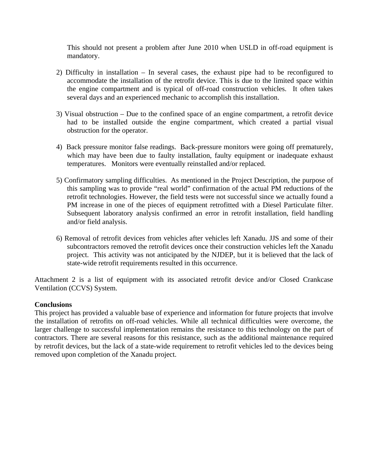This should not present a problem after June 2010 when USLD in off-road equipment is mandatory.

- 2) Difficulty in installation In several cases, the exhaust pipe had to be reconfigured to accommodate the installation of the retrofit device. This is due to the limited space within the engine compartment and is typical of off-road construction vehicles. It often takes several days and an experienced mechanic to accomplish this installation.
- 3) Visual obstruction Due to the confined space of an engine compartment, a retrofit device had to be installed outside the engine compartment, which created a partial visual obstruction for the operator.
- 4) Back pressure monitor false readings. Back-pressure monitors were going off prematurely, which may have been due to faulty installation, faulty equipment or inadequate exhaust temperatures. Monitors were eventually reinstalled and/or replaced.
- 5) Confirmatory sampling difficulties. As mentioned in the Project Description, the purpose of this sampling was to provide "real world" confirmation of the actual PM reductions of the retrofit technologies. However, the field tests were not successful since we actually found a PM increase in one of the pieces of equipment retrofitted with a Diesel Particulate filter. Subsequent laboratory analysis confirmed an error in retrofit installation, field handling and/or field analysis.
- 6) Removal of retrofit devices from vehicles after vehicles left Xanadu. JJS and some of their subcontractors removed the retrofit devices once their construction vehicles left the Xanadu project. This activity was not anticipated by the NJDEP, but it is believed that the lack of state-wide retrofit requirements resulted in this occurrence.

Attachment 2 is a list of equipment with its associated retrofit device and/or Closed Crankcase Ventilation (CCVS) System.

#### **Conclusions**

This project has provided a valuable base of experience and information for future projects that involve the installation of retrofits on off-road vehicles. While all technical difficulties were overcome, the larger challenge to successful implementation remains the resistance to this technology on the part of contractors. There are several reasons for this resistance, such as the additional maintenance required by retrofit devices, but the lack of a state-wide requirement to retrofit vehicles led to the devices being removed upon completion of the Xanadu project.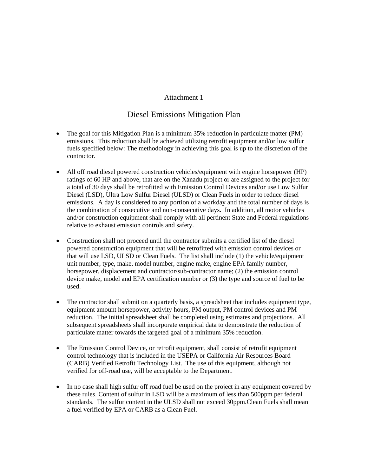#### Attachment 1

# Diesel Emissions Mitigation Plan

- The goal for this Mitigation Plan is a minimum 35% reduction in particulate matter (PM) emissions. This reduction shall be achieved utilizing retrofit equipment and/or low sulfur fuels specified below: The methodology in achieving this goal is up to the discretion of the contractor.
- All off road diesel powered construction vehicles/equipment with engine horsepower (HP) ratings of 60 HP and above, that are on the Xanadu project or are assigned to the project for a total of 30 days shall be retrofitted with Emission Control Devices and/or use Low Sulfur Diesel (LSD), Ultra Low Sulfur Diesel (ULSD) or Clean Fuels in order to reduce diesel emissions. A day is considered to any portion of a workday and the total number of days is the combination of consecutive and non-consecutive days. In addition, all motor vehicles and/or construction equipment shall comply with all pertinent State and Federal regulations relative to exhaust emission controls and safety.
- Construction shall not proceed until the contractor submits a certified list of the diesel powered construction equipment that will be retrofitted with emission control devices or that will use LSD, ULSD or Clean Fuels. The list shall include (1) the vehicle/equipment unit number, type, make, model number, engine make, engine EPA family number, horsepower, displacement and contractor/sub-contractor name; (2) the emission control device make, model and EPA certification number or (3) the type and source of fuel to be used.
- The contractor shall submit on a quarterly basis, a spreadsheet that includes equipment type, equipment amount horsepower, activity hours, PM output, PM control devices and PM reduction. The initial spreadsheet shall be completed using estimates and projections. All subsequent spreadsheets shall incorporate empirical data to demonstrate the reduction of particulate matter towards the targeted goal of a minimum 35% reduction.
- The Emission Control Device, or retrofit equipment, shall consist of retrofit equipment control technology that is included in the USEPA or California Air Resources Board (CARB) Verified Retrofit Technology List. The use of this equipment, although not verified for off-road use, will be acceptable to the Department.
- In no case shall high sulfur off road fuel be used on the project in any equipment covered by these rules. Content of sulfur in LSD will be a maximum of less than 500ppm per federal standards. The sulfur content in the ULSD shall not exceed 30ppm.Clean Fuels shall mean a fuel verified by EPA or CARB as a Clean Fuel.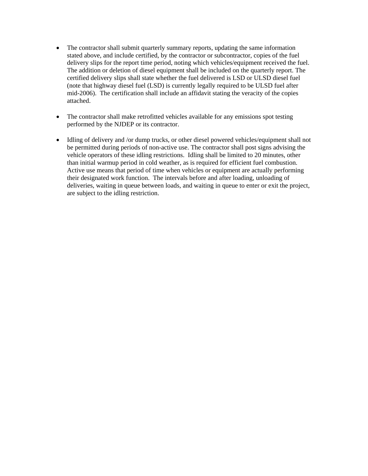- The contractor shall submit quarterly summary reports, updating the same information stated above, and include certified, by the contractor or subcontractor, copies of the fuel delivery slips for the report time period, noting which vehicles/equipment received the fuel. The addition or deletion of diesel equipment shall be included on the quarterly report. The certified delivery slips shall state whether the fuel delivered is LSD or ULSD diesel fuel (note that highway diesel fuel (LSD) is currently legally required to be ULSD fuel after mid-2006). The certification shall include an affidavit stating the veracity of the copies attached.
- The contractor shall make retrofitted vehicles available for any emissions spot testing performed by the NJDEP or its contractor.
- Idling of delivery and /or dump trucks, or other diesel powered vehicles/equipment shall not be permitted during periods of non-active use. The contractor shall post signs advising the vehicle operators of these idling restrictions. Idling shall be limited to 20 minutes, other than initial warmup period in cold weather, as is required for efficient fuel combustion. Active use means that period of time when vehicles or equipment are actually performing their designated work function. The intervals before and after loading, unloading of deliveries, waiting in queue between loads, and waiting in queue to enter or exit the project, are subject to the idling restriction.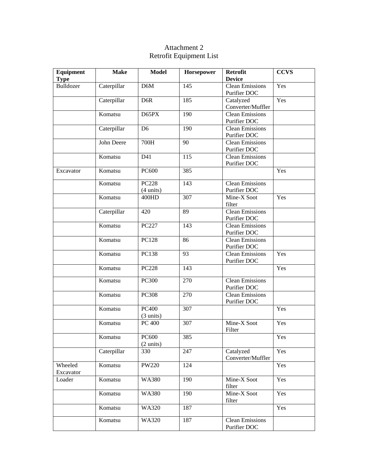# Attachment 2 Retrofit Equipment List

| <b>Equipment</b><br><b>Type</b> | <b>Make</b> | <b>Model</b>                        | Horsepower      | <b>Retrofit</b><br><b>Device</b>       | <b>CCVS</b> |
|---------------------------------|-------------|-------------------------------------|-----------------|----------------------------------------|-------------|
| <b>Bulldozer</b>                | Caterpillar | D6M                                 | 145             | <b>Clean Emissions</b><br>Purifier DOC | Yes         |
|                                 | Caterpillar | D <sub>6</sub> R                    | 185             | Catalyzed<br>Converter/Muffler         | Yes         |
|                                 | Komatsu     | D65PX                               | 190             | Clean Emissions<br>Purifier DOC        |             |
|                                 | Caterpillar | D <sub>6</sub>                      | 190             | <b>Clean Emissions</b><br>Purifier DOC |             |
|                                 | John Deere  | 700H                                | 90              | <b>Clean Emissions</b><br>Purifier DOC |             |
|                                 | Komatsu     | D41                                 | 115             | <b>Clean Emissions</b><br>Purifier DOC |             |
| Excavator                       | Komatsu     | <b>PC600</b>                        | 385             |                                        | Yes         |
|                                 | Komatsu     | <b>PC228</b><br>$(4 \text{ units})$ | 143             | <b>Clean Emissions</b><br>Purifier DOC |             |
|                                 | Komatsu     | 400HD                               | 307             | Mine-X Soot<br>filter                  | Yes         |
|                                 | Caterpillar | 420                                 | 89              | <b>Clean Emissions</b><br>Purifier DOC |             |
|                                 | Komatsu     | PC227                               | 143             | <b>Clean Emissions</b><br>Purifier DOC |             |
|                                 | Komatsu     | PC128                               | 86              | Clean Emissions<br>Purifier DOC        |             |
|                                 | Komatsu     | PC138                               | $\overline{93}$ | Clean Emissions<br>Purifier DOC        | Yes         |
|                                 | Komatsu     | <b>PC228</b>                        | 143             |                                        | Yes         |
|                                 | Komatsu     | <b>PC300</b>                        | 270             | <b>Clean Emissions</b><br>Purifier DOC |             |
|                                 | Komatsu     | <b>PC308</b>                        | 270             | <b>Clean Emissions</b><br>Purifier DOC |             |
|                                 | Komatsu     | <b>PC400</b><br>$(3 \text{ units})$ | 307             |                                        | Yes         |
|                                 | Komatsu     | PC 400                              | 307             | Mine-X Soot<br>Filter                  | Yes         |
|                                 | Komatsu     | PC600<br>$(2 \text{ units})$        | 385             |                                        | Yes         |
|                                 | Caterpillar | 330                                 | 247             | Catalyzed<br>Converter/Muffler         | Yes         |
| Wheeled<br>Excavator            | Komatsu     | <b>PW220</b>                        | 124             |                                        | Yes         |
| Loader                          | Komatsu     | <b>WA380</b>                        | 190             | Mine-X Soot<br>filter                  | Yes         |
|                                 | Komatsu     | <b>WA380</b>                        | 190             | Mine-X Soot<br>filter                  | Yes         |
|                                 | Komatsu     | <b>WA320</b>                        | 187             |                                        | Yes         |
|                                 | Komatsu     | <b>WA320</b>                        | 187             | <b>Clean Emissions</b><br>Purifier DOC |             |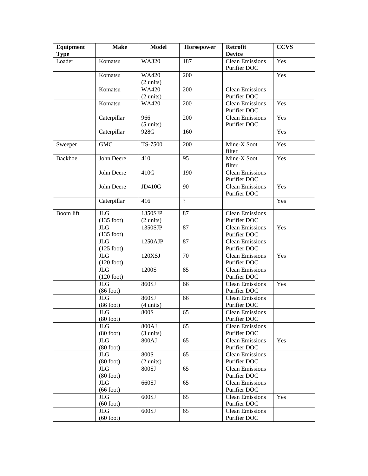| Equipment<br><b>Type</b> | <b>Make</b>                | <b>Model</b>                        | Horsepower     | Retrofit<br><b>Device</b>              | <b>CCVS</b> |
|--------------------------|----------------------------|-------------------------------------|----------------|----------------------------------------|-------------|
| Loader                   | Komatsu                    | <b>WA320</b>                        | 187            | <b>Clean Emissions</b><br>Purifier DOC | Yes         |
|                          | Komatsu                    | <b>WA420</b><br>$(2 \text{ units})$ | 200            |                                        | Yes         |
|                          | Komatsu                    | <b>WA420</b>                        | 200            | <b>Clean Emissions</b>                 |             |
|                          |                            | $(2 \text{ units})$                 |                | Purifier DOC                           |             |
|                          | Komatsu                    | <b>WA420</b>                        | 200            | <b>Clean Emissions</b>                 | Yes         |
|                          |                            |                                     |                | Purifier DOC                           |             |
|                          | Caterpillar                | 966                                 | 200            | <b>Clean Emissions</b>                 | Yes         |
|                          |                            | $(5 \text{ units})$                 |                | Purifier DOC                           |             |
|                          | Caterpillar                | 928G                                | 160            |                                        | Yes         |
| Sweeper                  | <b>GMC</b>                 | TS-7500                             | 200            | Mine-X Soot<br>filter                  | Yes         |
| <b>Backhoe</b>           | John Deere                 | 410                                 | 95             | Mine-X Soot<br>filter                  | Yes         |
|                          | John Deere                 | 410G                                | 190            | Clean Emissions<br>Purifier DOC        |             |
|                          | John Deere                 | <b>JD410G</b>                       | 90             | Clean Emissions<br>Purifier DOC        | Yes         |
|                          | Caterpillar                | 416                                 | $\overline{?}$ |                                        | Yes         |
| <b>Boom</b> lift         | <b>JLG</b>                 | 1350SJP                             | 87             | Clean Emissions                        |             |
|                          | $(135$ foot)               | $(2 \text{ units})$                 |                | Purifier DOC                           |             |
|                          | JLG<br>$(135$ foot)        | 1350SJP                             | 87             | Clean Emissions<br>Purifier DOC        | Yes         |
|                          | <b>JLG</b><br>$(125$ foot) | 1250AJP                             | 87             | <b>Clean Emissions</b><br>Purifier DOC |             |
|                          | <b>JLG</b>                 | 120XSJ                              | 70             | <b>Clean Emissions</b>                 | Yes         |
|                          | $(120$ foot)               |                                     |                | Purifier DOC                           |             |
|                          | JLG                        | 1200S                               | 85             | <b>Clean Emissions</b>                 |             |
|                          | $(120$ foot)               |                                     |                | Purifier DOC                           |             |
|                          | JLG                        | 860SJ                               | 66             | <b>Clean Emissions</b>                 | Yes         |
|                          | $(86$ foot)                |                                     |                | Purifier DOC                           |             |
|                          | <b>JLG</b>                 | 860SJ                               | 66             | <b>Clean Emissions</b>                 |             |
|                          | $(86$ foot)                | $(4 \text{ units})$                 |                | Purifier DOC                           |             |
|                          | JLG                        | <b>800S</b>                         | 65             | <b>Clean Emissions</b>                 |             |
|                          | $(80$ foot)                |                                     |                | Purifier DOC                           |             |
|                          | <b>JLG</b>                 | 800AJ                               | 65             | <b>Clean Emissions</b>                 |             |
|                          | $(80$ foot)                | $(3 \text{ units})$                 | 65             | Purifier DOC                           |             |
|                          | JLG<br>$(80$ foot)         | 800AJ                               |                | <b>Clean Emissions</b><br>Purifier DOC | Yes         |
|                          | <b>JLG</b>                 | <b>800S</b>                         | 65             | <b>Clean Emissions</b>                 |             |
|                          | $(80$ foot)                | $(2 \text{ units})$                 |                | Purifier DOC                           |             |
|                          | <b>JLG</b>                 | 800SJ                               | 65             | <b>Clean Emissions</b>                 |             |
|                          | $(80$ foot)                |                                     |                | Purifier DOC                           |             |
|                          | <b>JLG</b>                 | 660SJ                               | 65             | <b>Clean Emissions</b>                 |             |
|                          | $(66$ foot)                |                                     |                | Purifier DOC                           |             |
|                          | $\rm JLG$                  | 600SJ                               | 65             | <b>Clean Emissions</b>                 | Yes         |
|                          | $(60$ foot)                |                                     |                | Purifier DOC                           |             |
|                          | JLG.                       | 600SJ                               | 65             | <b>Clean Emissions</b>                 |             |
|                          | $(60$ foot)                |                                     |                | Purifier DOC                           |             |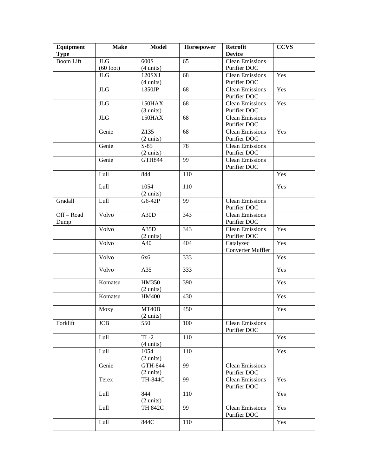| Equipment<br><b>Type</b> | <b>Make</b>               | <b>Model</b>                          | Horsepower | <b>Retrofit</b><br><b>Device</b>       | <b>CCVS</b> |
|--------------------------|---------------------------|---------------------------------------|------------|----------------------------------------|-------------|
| <b>Boom Lift</b>         | <b>JLG</b><br>$(60$ foot) | 600S<br>$(4 \text{ units})$           | 65         | <b>Clean Emissions</b><br>Purifier DOC |             |
|                          | JLG                       | 120SXJ<br>$(4 \text{ units})$         | 68         | <b>Clean Emissions</b><br>Purifier DOC | Yes         |
|                          | $\rm JLG$                 | 1350JP                                | 68         | <b>Clean Emissions</b><br>Purifier DOC | Yes         |
|                          | $\rm JLG$                 | 150HAX<br>$(3 \text{ units})$         | 68         | <b>Clean Emissions</b><br>Purifier DOC | Yes         |
|                          | $\rm JLG$                 | <b>150HAX</b>                         | 68         | <b>Clean Emissions</b><br>Purifier DOC |             |
|                          | Genie                     | Z135<br>$(2 \text{ units})$           | 68         | <b>Clean Emissions</b><br>Purifier DOC | Yes         |
|                          | Genie                     | $S-85$<br>$(2 \text{ units})$         | 78         | <b>Clean Emissions</b><br>Purifier DOC |             |
|                          | Genie                     | <b>GTH844</b>                         | 99         | <b>Clean Emissions</b><br>Purifier DOC |             |
|                          | Lull                      | 844                                   | 110        |                                        | Yes         |
|                          | Lull                      | 1054<br>$(2 \text{ units})$           | 110        |                                        | Yes         |
| Gradall                  | Lull                      | G6-42P                                | 99         | <b>Clean Emissions</b><br>Purifier DOC |             |
| $Off - Road$<br>Dump     | Volvo                     | A30D                                  | 343        | <b>Clean Emissions</b><br>Purifier DOC |             |
|                          | Volvo                     | A35D<br>$(2 \text{ units})$           | 343        | <b>Clean Emissions</b><br>Purifier DOC | Yes         |
|                          | Volvo                     | A40                                   | 404        | Catalyzed<br><b>Converter Muffler</b>  | Yes         |
|                          | Volvo                     | 6x6                                   | 333        |                                        | Yes         |
|                          | Volvo                     | A35                                   | 333        |                                        | Yes         |
|                          | Komatsu                   | <b>HM350</b><br>$(2 \text{ units})$   | 390        |                                        | Yes         |
|                          | Komatsu                   | <b>HM400</b>                          | 430        |                                        | Yes         |
|                          | Moxy                      | MT40B<br>$(2 \text{ units})$          | 450        |                                        | Yes         |
| Forklift                 | <b>JCB</b>                | 550                                   | 100        | <b>Clean Emissions</b><br>Purifier DOC |             |
|                          | Lull                      | $TL-2$<br>$(4 \text{ units})$         | 110        |                                        | Yes         |
|                          | Lull                      | 1054<br>$(2 \text{ units})$           | 110        |                                        | Yes         |
|                          | Genie                     | <b>GTH-844</b><br>$(2 \text{ units})$ | 99         | <b>Clean Emissions</b><br>Purifier DOC |             |
|                          | Terex                     | TH-844C                               | 99         | <b>Clean Emissions</b><br>Purifier DOC | Yes         |
|                          | Lull                      | 844<br>$(2 \text{ units})$            | 110        |                                        | Yes         |
|                          | Lull                      | TH 842C                               | 99         | <b>Clean Emissions</b><br>Purifier DOC | Yes         |
|                          | Lull                      | 844C                                  | 110        |                                        | Yes         |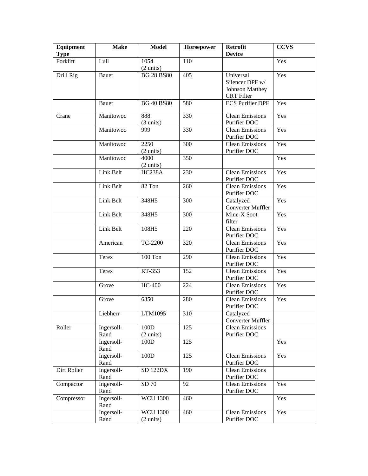| Equipment<br><b>Type</b> | <b>Make</b>        | <b>Model</b>                           | Horsepower       | <b>Retrofit</b><br><b>Device</b>                                            | <b>CCVS</b> |
|--------------------------|--------------------|----------------------------------------|------------------|-----------------------------------------------------------------------------|-------------|
| Forklift                 | Lull               | 1054<br>$(2 \text{ units})$            | 110              |                                                                             | Yes         |
| Drill Rig                | Bauer              | <b>BG 28 BS80</b>                      | 405              | Universal<br>Silencer DPF w/<br><b>Johnson Matthey</b><br><b>CRT</b> Filter | Yes         |
|                          | Bauer              | <b>BG 40 BS80</b>                      | 580              | <b>ECS Purifier DPF</b>                                                     | Yes         |
| Crane                    | Manitowoc          | 888<br>$(3 \text{ units})$             | 330              | <b>Clean Emissions</b><br>Purifier DOC                                      | Yes         |
|                          | Manitowoc          | 999                                    | 330              | <b>Clean Emissions</b><br>Purifier DOC                                      | Yes         |
|                          | Manitowoc          | 2250<br>$(2 \text{ units})$            | 300              | <b>Clean Emissions</b><br>Purifier DOC                                      | Yes         |
|                          | Manitowoc          | 4000<br>$(2 \text{ units})$            | 350              |                                                                             | Yes         |
|                          | Link Belt          | <b>HC238A</b>                          | 230              | <b>Clean Emissions</b><br>Purifier DOC                                      | Yes         |
|                          | Link Belt          | 82 Ton                                 | 260              | <b>Clean Emissions</b><br>Purifier DOC                                      | Yes         |
|                          | Link Belt          | 348H5                                  | 300              | Catalyzed<br><b>Converter Muffler</b>                                       | Yes         |
|                          | Link Belt          | 348H5                                  | 300              | Mine-X Soot<br>filter                                                       | Yes         |
|                          | Link Belt          | 108H5                                  | 220              | <b>Clean Emissions</b><br>Purifier DOC                                      | Yes         |
|                          | American           | TC-2200                                | 320              | <b>Clean Emissions</b><br>Purifier DOC                                      | Yes         |
|                          | <b>Terex</b>       | 100 Ton                                | 290              | <b>Clean Emissions</b><br>Purifier DOC                                      | Yes         |
|                          | Terex              | RT-353                                 | 152              | Clean Emissions<br>Purifier DOC                                             | Yes         |
|                          | Grove              | <b>HC-400</b>                          | 224              | <b>Clean Emissions</b><br>Purifier DOC                                      | Yes         |
|                          | Grove              | 6350                                   | 280              | <b>Clean Emissions</b><br>Purifier DOC                                      | Yes         |
|                          | Liebherr           | LTM1095                                | $\overline{310}$ | Catalyzed<br>Converter Muffler                                              |             |
| Roller                   | Ingersoll-<br>Rand | 100D<br>$(2 \text{ units})$            | 125              | <b>Clean Emissions</b><br>Purifier DOC                                      |             |
|                          | Ingersoll-<br>Rand | 100D                                   | 125              |                                                                             | Yes         |
|                          | Ingersoll-<br>Rand | 100D                                   | 125              | <b>Clean Emissions</b><br>Purifier DOC                                      | Yes         |
| Dirt Roller              | Ingersoll-<br>Rand | <b>SD 122DX</b>                        | 190              | <b>Clean Emissions</b><br>Purifier DOC                                      |             |
| Compactor                | Ingersoll-<br>Rand | SD 70                                  | 92               | <b>Clean Emissions</b><br>Purifier DOC                                      | Yes         |
| Compressor               | Ingersoll-<br>Rand | <b>WCU 1300</b>                        | 460              |                                                                             | Yes         |
|                          | Ingersoll-<br>Rand | <b>WCU 1300</b><br>$(2 \text{ units})$ | 460              | <b>Clean Emissions</b><br>Purifier DOC                                      | Yes         |